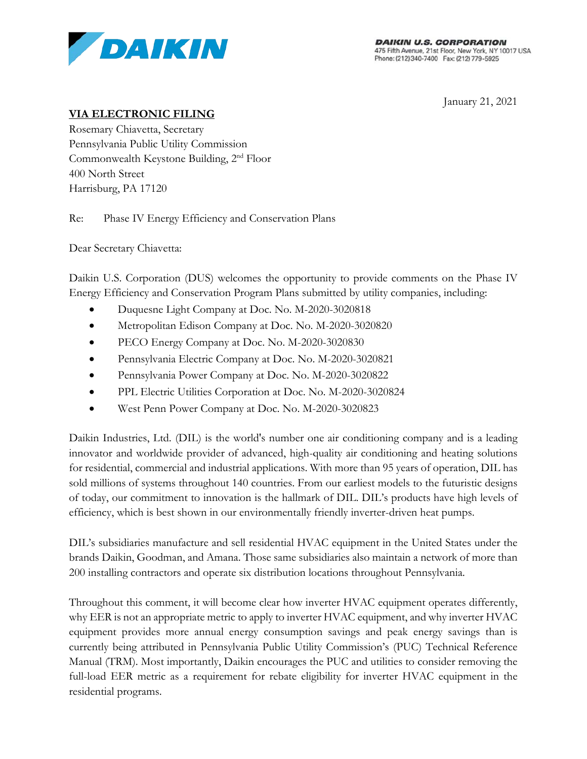

January 21, 2021

# **VIA ELECTRONIC FILING**

Rosemary Chiavetta, Secretary Pennsylvania Public Utility Commission Commonwealth Keystone Building, 2nd Floor 400 North Street Harrisburg, PA 17120

Re: Phase IV Energy Efficiency and Conservation Plans

Dear Secretary Chiavetta:

Daikin U.S. Corporation (DUS) welcomes the opportunity to provide comments on the Phase IV Energy Efficiency and Conservation Program Plans submitted by utility companies, including:

- Duquesne Light Company at Doc. No. M-2020-3020818
- Metropolitan Edison Company at Doc. No. M-2020-3020820
- PECO Energy Company at Doc. No. M-2020-3020830
- Pennsylvania Electric Company at Doc. No. M-2020-3020821
- Pennsylvania Power Company at Doc. No. M-2020-3020822
- PPL Electric Utilities Corporation at Doc. No. M-2020-3020824
- West Penn Power Company at Doc. No. M-2020-3020823

Daikin Industries, Ltd. (DIL) is the world's number one air conditioning company and is a leading innovator and worldwide provider of advanced, high-quality air conditioning and heating solutions for residential, commercial and industrial applications. With more than 95 years of operation, DIL has sold millions of systems throughout 140 countries. From our earliest models to the futuristic designs of today, our commitment to innovation is the hallmark of DIL. DIL's products have high levels of efficiency, which is best shown in our environmentally friendly inverter-driven heat pumps.

DIL's subsidiaries manufacture and sell residential HVAC equipment in the United States under the brands Daikin, Goodman, and Amana. Those same subsidiaries also maintain a network of more than 200 installing contractors and operate six distribution locations throughout Pennsylvania.

Throughout this comment, it will become clear how inverter HVAC equipment operates differently, why EER is not an appropriate metric to apply to inverter HVAC equipment, and why inverter HVAC equipment provides more annual energy consumption savings and peak energy savings than is currently being attributed in Pennsylvania Public Utility Commission's (PUC) Technical Reference Manual (TRM). Most importantly, Daikin encourages the PUC and utilities to consider removing the full-load EER metric as a requirement for rebate eligibility for inverter HVAC equipment in the residential programs.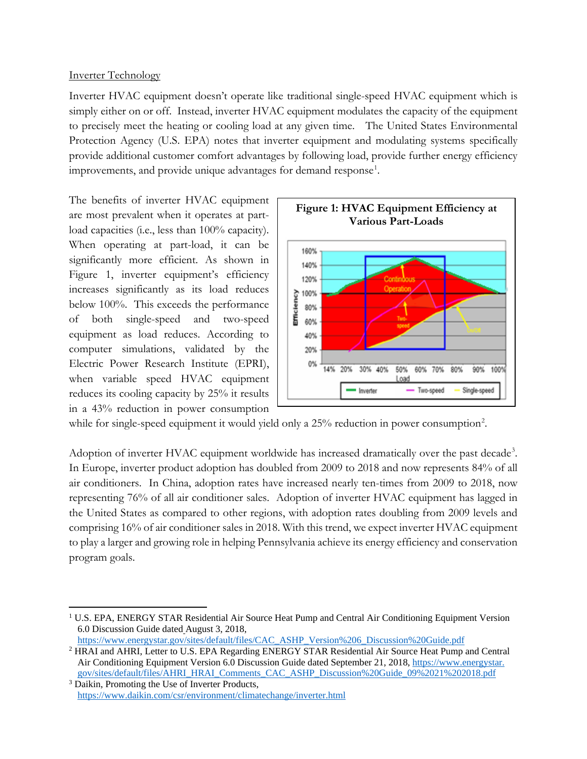# Inverter Technology

Inverter HVAC equipment doesn't operate like traditional single-speed HVAC equipment which is simply either on or off. Instead, inverter HVAC equipment modulates the capacity of the equipment to precisely meet the heating or cooling load at any given time. The United States Environmental Protection Agency (U.S. EPA) notes that inverter equipment and modulating systems specifically provide additional customer comfort advantages by following load, provide further energy efficiency improvements, and provide unique advantages for demand response<sup>[1](#page-1-0)</sup>.

The benefits of inverter HVAC equipment are most prevalent when it operates at partload capacities (i.e., less than 100% capacity). When operating at part-load, it can be significantly more efficient. As shown in Figure 1, inverter equipment's efficiency increases significantly as its load reduces below 100%. This exceeds the performance of both single-speed and two-speed equipment as load reduces. According to computer simulations, validated by the Electric Power Research Institute (EPRI), when variable speed HVAC equipment reduces its cooling capacity by 25% it results in a 43% reduction in power consumption



while for single-speed equipment it would yield only a [2](#page-1-1)5% reduction in power consumption<sup>2</sup>.

Adoption of inverter HVAC equipment worldwide has increased dramatically over the past decade<sup>[3](#page-1-2)</sup>. In Europe, inverter product adoption has doubled from 2009 to 2018 and now represents 84% of all air conditioners. In China, adoption rates have increased nearly ten-times from 2009 to 2018, now representing 76% of all air conditioner sales. Adoption of inverter HVAC equipment has lagged in the United States as compared to other regions, with adoption rates doubling from 2009 levels and comprising 16% of air conditioner sales in 2018. With this trend, we expect inverter HVAC equipment to play a larger and growing role in helping Pennsylvania achieve its energy efficiency and conservation program goals.

[https://www.energystar.gov/sites/default/files/CAC\\_ASHP\\_Version%206\\_Discussion%20Guide.pdf](https://www.energystar.gov/sites/default/files/CAC_ASHP_Version%206_Discussion%20Guide.pdf)

<span id="page-1-0"></span><sup>&</sup>lt;sup>1</sup> U.S. EPA, ENERGY STAR Residential Air Source Heat Pump and Central Air Conditioning Equipment Version 6.0 Discussion Guide dated August 3, 2018,

<span id="page-1-1"></span><sup>2</sup> HRAI and AHRI, Letter to U.S. EPA Regarding ENERGY STAR Residential Air Source Heat Pump and Central Air Conditioning Equipment Version 6.0 Discussion Guide dated September 21, 2018, [https://www.energystar.](https://www.energystar.gov/)  [gov/sites/default/files/AHRI\\_HRAI\\_Comments\\_CAC\\_ASHP\\_Discussion%20Guide\\_09%2021%202018.pdf](https://www.energystar.gov/sites/default/files/AHRI_HRAI_Comments_CAC_ASHP_Discussion%20Guide_09%2021%202018.pdf)

<span id="page-1-2"></span><sup>3</sup> Daikin, Promoting the Use of Inverter Products, <https://www.daikin.com/csr/environment/climatechange/inverter.html>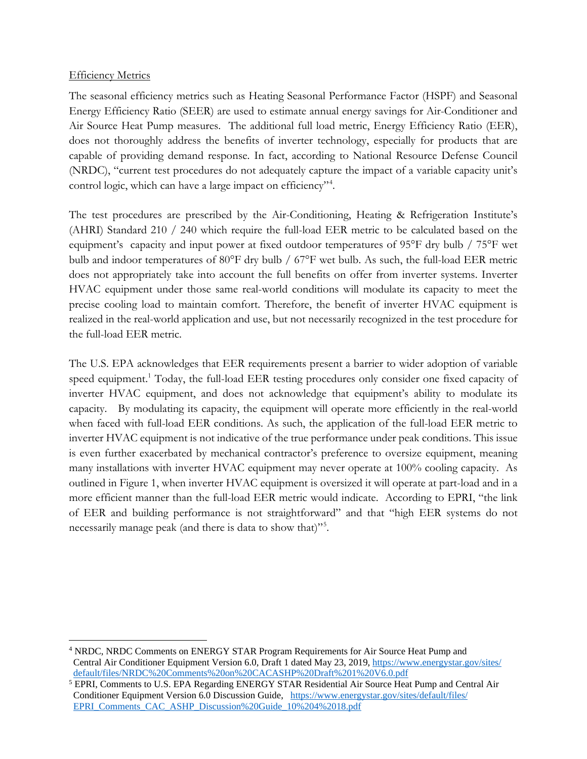#### **Efficiency Metrics**

The seasonal efficiency metrics such as Heating Seasonal Performance Factor (HSPF) and Seasonal Energy Efficiency Ratio (SEER) are used to estimate annual energy savings for Air-Conditioner and Air Source Heat Pump measures. The additional full load metric, Energy Efficiency Ratio (EER), does not thoroughly address the benefits of inverter technology, especially for products that are capable of providing demand response. In fact, according to National Resource Defense Council (NRDC), "current test procedures do not adequately capture the impact of a variable capacity unit's control logic, which can have a large impact on efficiency"[4](#page-2-0) .

The test procedures are prescribed by the Air-Conditioning, Heating & Refrigeration Institute's (AHRI) Standard 210 / 240 which require the full-load EER metric to be calculated based on the equipment's capacity and input power at fixed outdoor temperatures of 95°F dry bulb / 75°F wet bulb and indoor temperatures of 80°F dry bulb / 67°F wet bulb. As such, the full-load EER metric does not appropriately take into account the full benefits on offer from inverter systems. Inverter HVAC equipment under those same real-world conditions will modulate its capacity to meet the precise cooling load to maintain comfort. Therefore, the benefit of inverter HVAC equipment is realized in the real-world application and use, but not necessarily recognized in the test procedure for the full-load EER metric.

The U.S. EPA acknowledges that EER requirements present a barrier to wider adoption of variable speed equipment.<sup>1</sup> Today, the full-load EER testing procedures only consider one fixed capacity of inverter HVAC equipment, and does not acknowledge that equipment's ability to modulate its capacity. By modulating its capacity, the equipment will operate more efficiently in the real-world when faced with full-load EER conditions. As such, the application of the full-load EER metric to inverter HVAC equipment is not indicative of the true performance under peak conditions. This issue is even further exacerbated by mechanical contractor's preference to oversize equipment, meaning many installations with inverter HVAC equipment may never operate at 100% cooling capacity. As outlined in Figure 1, when inverter HVAC equipment is oversized it will operate at part-load and in a more efficient manner than the full-load EER metric would indicate. According to EPRI, "the link of EER and building performance is not straightforward" and that "high EER systems do not necessarily manage peak (and there is data to show that)"[5](#page-2-1) .

<span id="page-2-0"></span><sup>4</sup> NRDC, NRDC Comments on ENERGY STAR Program Requirements for Air Source Heat Pump and Central Air Conditioner Equipment Version 6.0, Draft 1 dated May 23, 2019[, https://www.energystar.gov/sites/](https://www.energystar.gov/sites/default/) [default/files/NRDC%20Comments%20on%20CACASHP%20Draft%201%20V6.0.pdf](https://www.energystar.gov/sites/default/files/NRDC%20Comments%20on%20CACASHP%20Draft%201%20V6.0.pdf)

<span id="page-2-1"></span><sup>5</sup> EPRI, Comments to U.S. EPA Regarding ENERGY STAR Residential Air Source Heat Pump and Central Air Conditioner Equipment Version 6.0 Discussion Guide, [https://www.energystar.gov/sites/default/files/](https://www.energystar.gov/sites/default/files/EPRI_Comments_CAC_ASHP_Discussion%20Guide_10%204%2018.pdf) [EPRI\\_Comments\\_CAC\\_ASHP\\_Discussion%20Guide\\_10%204%2018.pdf](https://www.energystar.gov/sites/default/files/EPRI_Comments_CAC_ASHP_Discussion%20Guide_10%204%2018.pdf)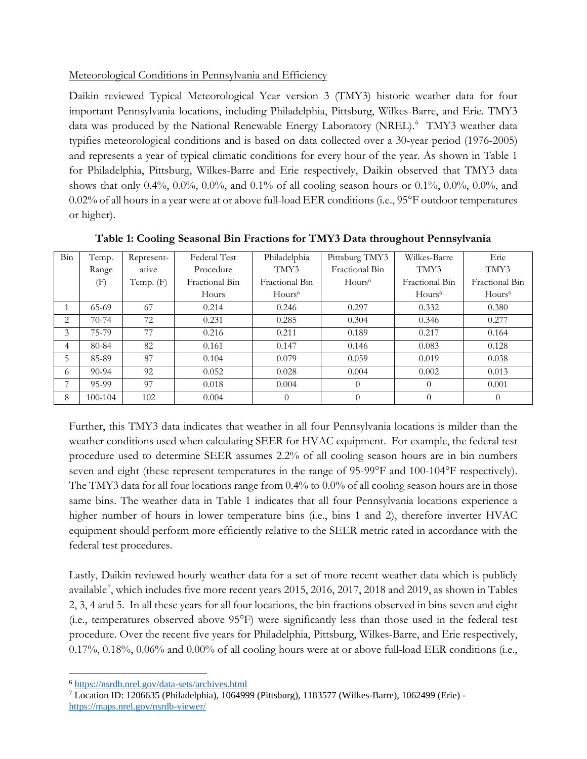# Meteorological Conditions in Pennsylvania and Efficiency

Daikin reviewed Typical Meteorological Year version 3 (TMY3) historic weather data for four important Pennsylvania locations, including Philadelphia, Pittsburg, Wilkes-Barre, and Erie. TMY3 data was produced by the National Renewable Energy Laboratory (NREL).<sup>[6](#page-3-0)</sup> TMY3 weather data typifies meteorological conditions and is based on data collected over a 30-year period (1976-2005) and represents a year of typical climatic conditions for every hour of the year. As shown in Table 1 for Philadelphia, Pittsburg, Wilkes-Barre and Erie respectively, Daikin observed that TMY3 data shows that only 0.4%, 0.0%, 0.0%, and 0.1% of all cooling season hours or 0.1%, 0.0%, 0.0%, and 0.02% of all hours in a year were at or above full-load EER conditions (i.e., 95°F outdoor temperatures or higher).

| Bin | Temp.   | Represent- | Federal Test   | Philadelphia       | Pittsburg TMY3     | Wilkes-Barre       | Erie               |
|-----|---------|------------|----------------|--------------------|--------------------|--------------------|--------------------|
|     | Range   | ative      | Procedure      | TMY3               | Fractional Bin     | TMY3               | TMY3               |
|     | (F)     | Temp. (F)  | Fractional Bin | Fractional Bin     | Hours <sup>6</sup> | Fractional Bin     | Fractional Bin     |
|     |         |            | Hours          | Hours <sup>6</sup> |                    | Hours <sup>6</sup> | Hours <sup>6</sup> |
|     | 65-69   | 67         | 0.214          | 0.246              | 0.297              | 0.332              | 0.380              |
| 2   | $70-74$ | 72         | 0.231          | 0.285              | 0.304              | 0.346              | 0.277              |
| 3   | 75-79   | 77         | 0.216          | 0.211              | 0.189              | 0.217              | 0.164              |
| 4   | 80-84   | 82         | 0.161          | 0.147              | 0.146              | 0.083              | 0.128              |
| 5   | 85-89   | 87         | 0.104          | 0.079              | 0.059              | 0.019              | 0.038              |
| 6   | $90-94$ | 92         | 0.052          | 0.028              | 0.004              | 0.002              | 0.013              |
| 7   | 95-99   | 97         | 0.018          | 0.004              | $\Omega$           | $\Omega$           | 0.001              |
| 8   | 100-104 | 102        | 0.004          | $\theta$           | $\theta$           | $\Omega$           | $\Omega$           |

**Table 1: Cooling Seasonal Bin Fractions for TMY3 Data throughout Pennsylvania**

Further, this TMY3 data indicates that weather in all four Pennsylvania locations is milder than the weather conditions used when calculating SEER for HVAC equipment. For example, the federal test procedure used to determine SEER assumes 2.2% of all cooling season hours are in bin numbers seven and eight (these represent temperatures in the range of 95-99°F and 100-104°F respectively). The TMY3 data for all four locations range from 0.4% to 0.0% of all cooling season hours are in those same bins. The weather data in Table 1 indicates that all four Pennsylvania locations experience a higher number of hours in lower temperature bins (i.e., bins 1 and 2), therefore inverter HVAC equipment should perform more efficiently relative to the SEER metric rated in accordance with the federal test procedures.

Lastly, Daikin reviewed hourly weather data for a set of more recent weather data which is publicly available[7](#page-3-1) , which includes five more recent years 2015, 2016, 2017, 2018 and 2019, as shown in Tables 2, 3, 4 and 5. In all these years for all four locations, the bin fractions observed in bins seven and eight (i.e., temperatures observed above 95°F) were significantly less than those used in the federal test procedure. Over the recent five years for Philadelphia, Pittsburg, Wilkes-Barre, and Erie respectively, 0.17%, 0.18%, 0.06% and 0.00% of all cooling hours were at or above full-load EER conditions (i.e.,

<span id="page-3-0"></span><sup>6</sup> <https://nsrdb.nrel.gov/data-sets/archives.html>

<span id="page-3-1"></span><sup>7</sup> Location ID: 1206635 (Philadelphia), 1064999 (Pittsburg), 1183577 (Wilkes-Barre), 1062499 (Erie) <https://maps.nrel.gov/nsrdb-viewer/>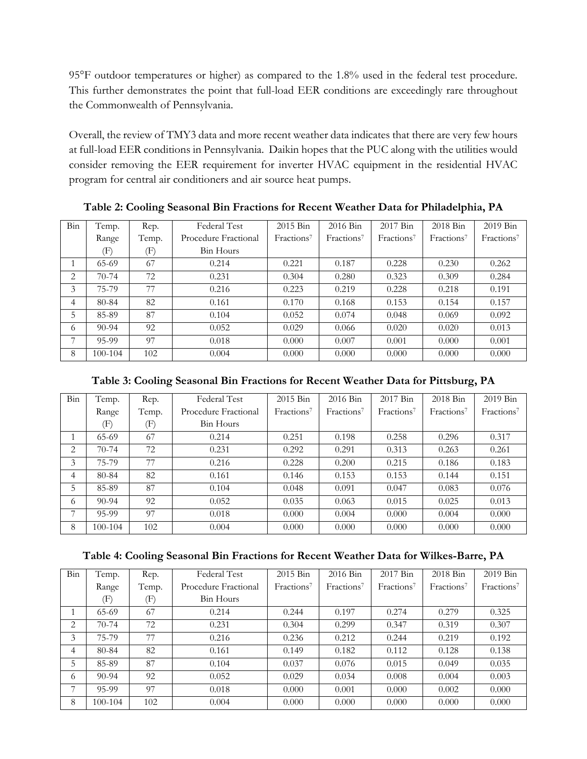95°F outdoor temperatures or higher) as compared to the 1.8% used in the federal test procedure. This further demonstrates the point that full-load EER conditions are exceedingly rare throughout the Commonwealth of Pennsylvania.

Overall, the review of TMY3 data and more recent weather data indicates that there are very few hours at full-load EER conditions in Pennsylvania. Daikin hopes that the PUC along with the utilities would consider removing the EER requirement for inverter HVAC equipment in the residential HVAC program for central air conditioners and air source heat pumps.

| Bin | Temp.     | Rep.           | Federal Test         | $2015$ Bin             | $2016$ Bin             | 2017 Bin               | $2018$ Bin             | $2019$ Bin             |
|-----|-----------|----------------|----------------------|------------------------|------------------------|------------------------|------------------------|------------------------|
|     | Range     | Temp.          | Procedure Fractional | Fractions <sup>7</sup> | Fractions <sup>7</sup> | Fractions <sup>7</sup> | Fractions <sup>7</sup> | Fractions <sup>7</sup> |
|     | (F)       | $(\mathrm{F})$ | <b>Bin Hours</b>     |                        |                        |                        |                        |                        |
|     | $65-69$   | 67             | 0.214                | 0.221                  | 0.187                  | 0.228                  | 0.230                  | 0.262                  |
| 2   | $70-74$   | 72             | 0.231                | 0.304                  | 0.280                  | 0.323                  | 0.309                  | 0.284                  |
| 3   | 75-79     | 77             | 0.216                | 0.223                  | 0.219                  | 0.228                  | 0.218                  | 0.191                  |
| 4   | 80-84     | 82             | 0.161                | 0.170                  | 0.168                  | 0.153                  | 0.154                  | 0.157                  |
| 5   | 85-89     | 87             | 0.104                | 0.052                  | 0.074                  | 0.048                  | 0.069                  | 0.092                  |
| 6   | $90 - 94$ | 92             | 0.052                | 0.029                  | 0.066                  | 0.020                  | 0.020                  | 0.013                  |
| 7   | 95-99     | 97             | 0.018                | 0.000                  | 0.007                  | 0.001                  | 0.000                  | 0.001                  |
| 8   | 100-104   | 102            | 0.004                | 0.000                  | 0.000                  | 0.000                  | 0.000                  | 0.000                  |

**Table 2: Cooling Seasonal Bin Fractions for Recent Weather Data for Philadelphia, PA**

# **Table 3: Cooling Seasonal Bin Fractions for Recent Weather Data for Pittsburg, PA**

| Bin | Temp.     | Rep.  | Federal Test         | 2015 Bin               | 2016 Bin               | 2017 Bin               | 2018 Bin               | 2019 Bin               |
|-----|-----------|-------|----------------------|------------------------|------------------------|------------------------|------------------------|------------------------|
|     | Range     | Temp. | Procedure Fractional | Fractions <sup>7</sup> | Fractions <sup>7</sup> | Fractions <sup>7</sup> | Fractions <sup>7</sup> | Fractions <sup>7</sup> |
|     | (F)       | (F)   | Bin Hours            |                        |                        |                        |                        |                        |
|     | $65-69$   | 67    | 0.214                | 0.251                  | 0.198                  | 0.258                  | 0.296                  | 0.317                  |
| 2   | $70-74$   | 72    | 0.231                | 0.292                  | 0.291                  | 0.313                  | 0.263                  | 0.261                  |
| 3   | 75-79     | 77    | 0.216                | 0.228                  | 0.200                  | 0.215                  | 0.186                  | 0.183                  |
| 4   | 80-84     | 82    | 0.161                | 0.146                  | 0.153                  | 0.153                  | 0.144                  | 0.151                  |
| 5   | 85-89     | 87    | 0.104                | 0.048                  | 0.091                  | 0.047                  | 0.083                  | 0.076                  |
| 6   | $90 - 94$ | 92    | 0.052                | 0.035                  | 0.063                  | 0.015                  | 0.025                  | 0.013                  |
| 7   | 95-99     | 97    | 0.018                | 0.000                  | 0.004                  | 0.000                  | 0.004                  | 0.000                  |
| 8   | 100-104   | 102   | 0.004                | 0.000                  | 0.000                  | 0.000                  | 0.000                  | 0.000                  |

|  |  |  | Table 4: Cooling Seasonal Bin Fractions for Recent Weather Data for Wilkes-Barre, PA |
|--|--|--|--------------------------------------------------------------------------------------|
|--|--|--|--------------------------------------------------------------------------------------|

| Bin | Temp.     | Rep.  | Federal Test         | 2015 Bin               | 2016 Bin               | 2017 Bin               | 2018 Bin               | $2019$ Bin             |
|-----|-----------|-------|----------------------|------------------------|------------------------|------------------------|------------------------|------------------------|
|     | Range     | Temp. | Procedure Fractional | Fractions <sup>7</sup> | Fractions <sup>7</sup> | Fractions <sup>7</sup> | Fractions <sup>7</sup> | Fractions <sup>7</sup> |
|     | (F)       | (F)   | Bin Hours            |                        |                        |                        |                        |                        |
|     | $65-69$   | 67    | 0.214                | 0.244                  | 0.197                  | 0.274                  | 0.279                  | 0.325                  |
| 2   | $70-74$   | 72    | 0.231                | 0.304                  | 0.299                  | 0.347                  | 0.319                  | 0.307                  |
| 3   | 75-79     | 77    | 0.216                | 0.236                  | 0.212                  | 0.244                  | 0.219                  | 0.192                  |
| 4   | 80-84     | 82    | 0.161                | 0.149                  | 0.182                  | 0.112                  | 0.128                  | 0.138                  |
| 5   | 85-89     | 87    | 0.104                | 0.037                  | 0.076                  | 0.015                  | 0.049                  | 0.035                  |
| 6   | $90 - 94$ | 92    | 0.052                | 0.029                  | 0.034                  | 0.008                  | 0.004                  | 0.003                  |
| ⇁   | 95-99     | 97    | 0.018                | 0.000                  | 0.001                  | 0.000                  | 0.002                  | 0.000                  |
| 8   | 100-104   | 102   | 0.004                | 0.000                  | 0.000                  | 0.000                  | 0.000                  | 0.000                  |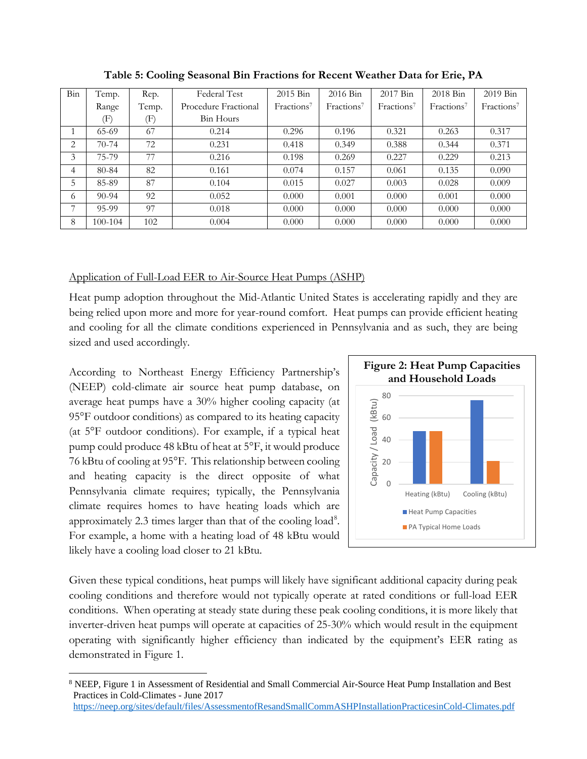| Bin | Temp.     | Rep.  | Federal Test         | 2015 Bin               | $2016$ Bin             | 2017 Bin               | $2018 \text{Bin}$      | $2019$ Bin             |
|-----|-----------|-------|----------------------|------------------------|------------------------|------------------------|------------------------|------------------------|
|     | Range     | Temp. | Procedure Fractional | Fractions <sup>7</sup> | Fractions <sup>7</sup> | Fractions <sup>7</sup> | Fractions <sup>7</sup> | Fractions <sup>7</sup> |
|     | $\rm (F)$ | (F)   | Bin Hours            |                        |                        |                        |                        |                        |
|     | $65-69$   | 67    | 0.214                | 0.296                  | 0.196                  | 0.321                  | 0.263                  | 0.317                  |
| 2   | $70-74$   | 72    | 0.231                | 0.418                  | 0.349                  | 0.388                  | 0.344                  | 0.371                  |
| 3   | 75-79     | 77    | 0.216                | 0.198                  | 0.269                  | 0.227                  | 0.229                  | 0.213                  |
| 4   | 80-84     | 82    | 0.161                | 0.074                  | 0.157                  | 0.061                  | 0.135                  | 0.090                  |
| 5   | 85-89     | 87    | 0.104                | 0.015                  | 0.027                  | 0.003                  | 0.028                  | 0.009                  |
| 6   | $90-94$   | 92    | 0.052                | 0.000                  | 0.001                  | 0.000                  | 0.001                  | 0.000                  |
| 7   | 95-99     | 97    | 0.018                | 0.000                  | 0.000                  | 0.000                  | 0.000                  | 0.000                  |
| 8   | 100-104   | 102   | 0.004                | 0.000                  | 0.000                  | 0.000                  | 0.000                  | 0.000                  |

**Table 5: Cooling Seasonal Bin Fractions for Recent Weather Data for Erie, PA**

### Application of Full-Load EER to Air-Source Heat Pumps (ASHP)

Heat pump adoption throughout the Mid-Atlantic United States is accelerating rapidly and they are being relied upon more and more for year-round comfort. Heat pumps can provide efficient heating and cooling for all the climate conditions experienced in Pennsylvania and as such, they are being sized and used accordingly.

According to Northeast Energy Efficiency Partnership's (NEEP) cold-climate air source heat pump database, on average heat pumps have a 30% higher cooling capacity (at 95°F outdoor conditions) as compared to its heating capacity (at 5°F outdoor conditions). For example, if a typical heat pump could produce 48 kBtu of heat at 5°F, it would produce 76 kBtu of cooling at 95°F. This relationship between cooling and heating capacity is the direct opposite of what Pennsylvania climate requires; typically, the Pennsylvania climate requires homes to have heating loads which are approximately 2.3 times larger than that of the cooling load<sup>[8](#page-5-0)</sup>. For example, a home with a heating load of 48 kBtu would likely have a cooling load closer to 21 kBtu.



Given these typical conditions, heat pumps will likely have significant additional capacity during peak cooling conditions and therefore would not typically operate at rated conditions or full-load EER conditions. When operating at steady state during these peak cooling conditions, it is more likely that inverter-driven heat pumps will operate at capacities of 25-30% which would result in the equipment operating with significantly higher efficiency than indicated by the equipment's EER rating as demonstrated in Figure 1.

<span id="page-5-0"></span><sup>8</sup> NEEP, Figure 1 in Assessment of Residential and Small Commercial Air-Source Heat Pump Installation and Best Practices in Cold-Climates - June 2017 <https://neep.org/sites/default/files/AssessmentofResandSmallCommASHPInstallationPracticesinCold-Climates.pdf>